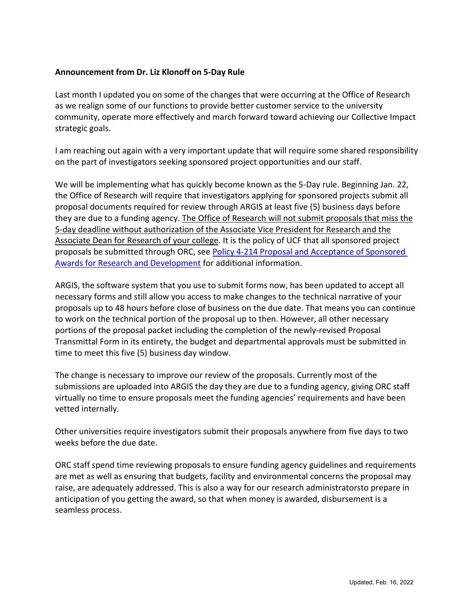## **Announcement from Dr. Liz Klonoff on 5-Day Rule**

Last month I updated you on some of the changes that were occurring at the Office of Research as we realign some of our functions to provide better customer service to the university community, operate more effectively and march forward toward achieving our Collective Impact strategic goals.

I am reaching out again with a very important update that will require some shared responsibility on the part of investigators seeking sponsored project opportunities and our staff.

We will be implementing what has quickly become known as the 5-Day rule. Beginning Jan. 22, the Office of Research will require that investigators applying for sponsored projects submit all proposal documents required for review through ARGIS at least five (5) business days before they are due to a funding agency. The Office of Research will not submit proposals that miss the 5-day deadline without authorization of the Associate Vice President for Research and the Associate Dean for Research of your college. It is the policy of UCF that all sponsored project proposals be submitted through ORC, see [Policy 4-214 Proposal and Acceptance of Sponsored](https://policies.ucf.edu/documents/4-214.pdf)  [Awards for Research and Development](https://policies.ucf.edu/documents/4-214.pdf) for additional information.

ARGIS, the software system that you use to submit forms now, has been updated to accept all necessary forms and still allow you access to make changes to the technical narrative of your proposals up to 48 hours before close of business on the due date. That means you can continue to work on the technical portion of the proposal up to then. However, all other necessary portions of the proposal packet including the completion of the newly-revised Proposal Transmittal Form in its entirety, the budget and departmental approvals must be submitted in time to meet this five (5) business day window.

The change is necessary to improve our review of the proposals. Currently most of the submissions are uploaded into ARGIS the day they are due to a funding agency, giving ORC staff virtually no time to ensure proposals meet the funding agencies' requirements and have been vetted internally.

Other universities require investigators submit their proposals anywhere from five days to two weeks before the due date.

ORC staff spend time reviewing proposals to ensure funding agency guidelines and requirements are met as well as ensuring that budgets, facility and environmental concerns the proposal may raise, are adequately addressed. This is also a way for our research administratorsto prepare in anticipation of you getting the award, so that when money is awarded, disbursement is a seamless process.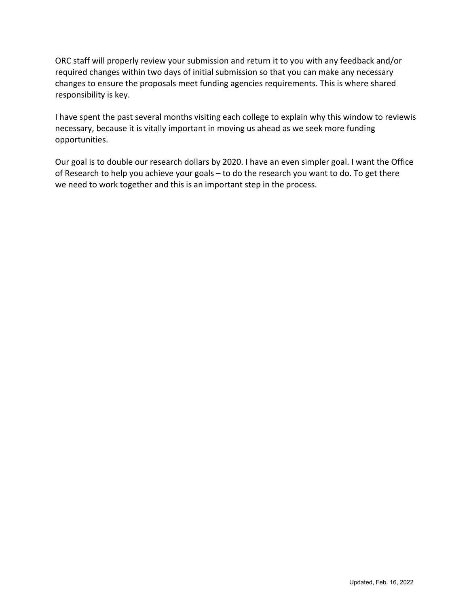ORC staff will properly review your submission and return it to you with any feedback and/or required changes within two days of initial submission so that you can make any necessary changes to ensure the proposals meet funding agencies requirements. This is where shared responsibility is key.

I have spent the past several months visiting each college to explain why this window to reviewis necessary, because it is vitally important in moving us ahead as we seek more funding opportunities.

Our goal is to double our research dollars by 2020. I have an even simpler goal. I want the Office of Research to help you achieve your goals – to do the research you want to do. To get there we need to work together and this is an important step in the process.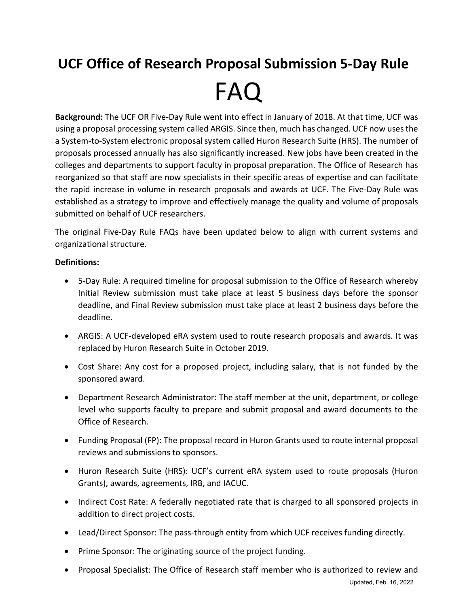## **UCF Office of Research Proposal Submission 5-Day Rule** FAQ

**Background:** The UCF OR Five-Day Rule went into effect in January of 2018. At that time, UCF was using a proposal processing system called ARGIS. Since then, much has changed. UCF now uses the a System-to-System electronic proposal system called Huron Research Suite (HRS). The number of proposals processed annually has also significantly increased. New jobs have been created in the colleges and departments to support faculty in proposal preparation. The Office of Research has reorganized so that staff are now specialists in their specific areas of expertise and can facilitate the rapid increase in volume in research proposals and awards at UCF. The Five-Day Rule was established as a strategy to improve and effectively manage the quality and volume of proposals submitted on behalf of UCF researchers.

The original Five-Day Rule FAQs have been updated below to align with current systems and organizational structure.

## **Definitions:**

- 5-Day Rule: A required timeline for proposal submission to the Office of Research whereby Initial Review submission must take place at least 5 business days before the sponsor deadline, and Final Review submission must take place at least 2 business days before the deadline.
- ARGIS: A UCF-developed eRA system used to route research proposals and awards. It was replaced by Huron Research Suite in October 2019.
- Cost Share: Any cost for a proposed project, including salary, that is not funded by the sponsored award.
- Department Research Administrator: The staff member at the unit, department, or college level who supports faculty to prepare and submit proposal and award documents to the Office of Research.
- Funding Proposal (FP): The proposal record in Huron Grants used to route internal proposal reviews and submissions to sponsors.
- Huron Research Suite (HRS): UCF's current eRA system used to route proposals (Huron Grants), awards, agreements, IRB, and IACUC.
- Indirect Cost Rate: A federally negotiated rate that is charged to all sponsored projects in addition to direct project costs.
- Lead/Direct Sponsor: The pass-through entity from which UCF receives funding directly.
- Prime Sponsor: The originating source of the project funding.
- Proposal Specialist: The Office of Research staff member who is authorized to review and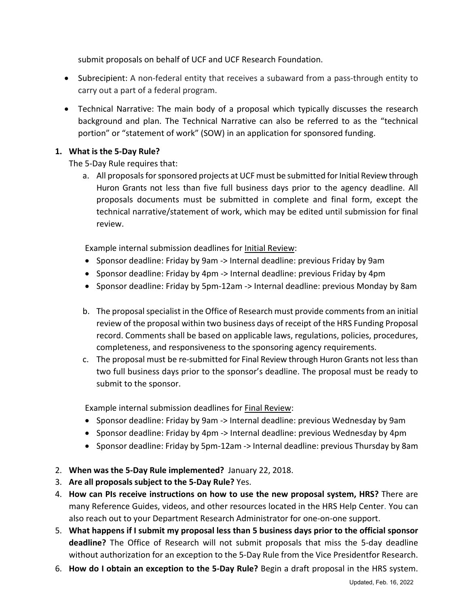submit proposals on behalf of UCF and UCF Research Foundation.

- Subrecipient: A non-federal entity that receives a subaward from a pass-through entity to carry out a part of a federal program.
- Technical Narrative: The main body of a proposal which typically discusses the research background and plan. The Technical Narrative can also be referred to as the "technical portion" or "statement of work" (SOW) in an application for sponsored funding.

## **1. What is the 5-Day Rule?**

The 5-Day Rule requires that:

a. All proposals for sponsored projects at UCF must be submitted for Initial Review through Huron Grants not less than five full business days prior to the agency deadline. All proposals documents must be submitted in complete and final form, except the technical narrative/statement of work, which may be edited until submission for final review.

Example internal submission deadlines for Initial Review:

- Sponsor deadline: Friday by 9am -> Internal deadline: previous Friday by 9am
- Sponsor deadline: Friday by 4pm -> Internal deadline: previous Friday by 4pm
- Sponsor deadline: Friday by 5pm-12am -> Internal deadline: previous Monday by 8am
- b. The proposal specialist in the Office of Research must provide comments from an initial review of the proposal within two business days of receipt of the HRS Funding Proposal record. Comments shall be based on applicable laws, regulations, policies, procedures, completeness, and responsiveness to the sponsoring agency requirements.
- c. The proposal must be re-submitted for Final Review through Huron Grants not less than two full business days prior to the sponsor's deadline. The proposal must be ready to submit to the sponsor.

Example internal submission deadlines for **Final Review**:

- Sponsor deadline: Friday by 9am -> Internal deadline: previous Wednesday by 9am
- Sponsor deadline: Friday by 4pm -> Internal deadline: previous Wednesday by 4pm
- Sponsor deadline: Friday by 5pm-12am -> Internal deadline: previous Thursday by 8am
- 2. **When was the 5-Day Rule implemented?** January 22, 2018.
- 3. **Are all proposals subject to the 5-Day Rule?** Yes.
- 4. **How can PIs receive instructions on how to use the new proposal system, HRS?** There are many Reference Guides, videos, and other resources located in the HRS Help Center. You can also reach out to your Department Research Administrator for one-on-one support.
- 5. **What happens if I submit my proposal less than 5 business days prior to the official sponsor deadline?** The Office of Research will not submit proposals that miss the 5-day deadline without authorization for an exception to the 5-Day Rule from the Vice Presidentfor Research.
- 6. **How do I obtain an exception to the 5-Day Rule?** Begin a draft proposal in the HRS system.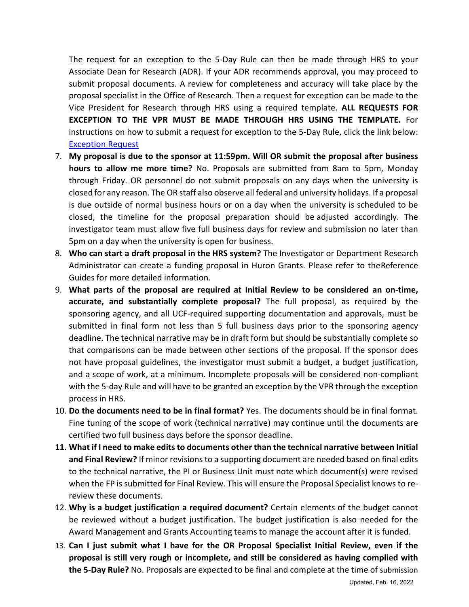The request for an exception to the 5-Day Rule can then be made through HRS to your Associate Dean for Research (ADR). If your ADR recommends approval, you may proceed to submit proposal documents. A review for completeness and accuracy will take place by the proposal specialist in the Office of Research. Then a request for exception can be made to the Vice President for Research through HRS using a required template. **ALL REQUESTS FOR EXCEPTION TO THE VPR MUST BE MADE THROUGH HRS USING THE TEMPLATE.** For instructions on how to submit a request for exception to the 5-Day Rule, click the link below: [Exception Request](https://ucf4.huronresearchsuite.com/Grants/sd/Doc/0/KMQLNDEC308UKD44T38PCLIG00/%20Exception%20to%205%20Day%20Rule%20Request%20Reference%20Guide%20for%20Huro%20n%20Grants.pdf)

- 7. **My proposal is due to the sponsor at 11:59pm. Will OR submit the proposal after business hours to allow me more time?** No. Proposals are submitted from 8am to 5pm, Monday through Friday. OR personnel do not submit proposals on any days when the university is closed for any reason. The OR staff also observe all federal and university holidays. If a proposal is due outside of normal business hours or on a day when the university is scheduled to be closed, the timeline for the proposal preparation should be adjusted accordingly. The investigator team must allow five full business days for review and submission no later than 5pm on a day when the university is open for business.
- 8. **Who can start a draft proposal in the HRS system?** The Investigator or Department Research Administrator can create a funding proposal in Huron Grants. Please refer to the Reference Guides for more detailed information.
- 9. **What parts of the proposal are required at Initial Review to be considered an on-time, accurate, and substantially complete proposal?** The full proposal, as required by the sponsoring agency, and all UCF-required supporting documentation and approvals, must be submitted in final form not less than 5 full business days prior to the sponsoring agency deadline. The technical narrative may be in draft form but should be substantially complete so that comparisons can be made between other sections of the proposal. If the sponsor does not have proposal guidelines, the investigator must submit a budget, a budget justification, and a scope of work, at a minimum. Incomplete proposals will be considered non-compliant with the 5-day Rule and will have to be granted an exception by the VPR through the exception process in HRS.
- 10. **Do the documents need to be in final format?** Yes. The documents should be in final format. Fine tuning of the scope of work (technical narrative) may continue until the documents are certified two full business days before the sponsor deadline.
- **11. What if I need to make edits to documents other than the technical narrative between Initial and Final Review?** If minor revisions to a supporting document are needed based on final edits to the technical narrative, the PI or Business Unit must note which document(s) were revised when the FP is submitted for Final Review. This will ensure the Proposal Specialist knows to rereview these documents.
- 12. **Why is a budget justification a required document?** Certain elements of the budget cannot be reviewed without a budget justification. The budget justification is also needed for the Award Management and Grants Accounting teams to manage the account after it is funded.
- 13. **Can I just submit what I have for the OR Proposal Specialist Initial Review, even if the proposal is still very rough or incomplete, and still be considered as having complied with the 5-Day Rule?** No. Proposals are expected to be final and complete at the time of submission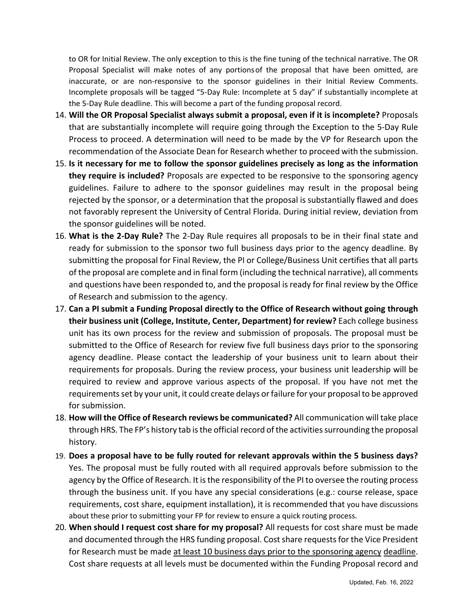to OR for Initial Review. The only exception to this is the fine tuning of the technical narrative. The OR Proposal Specialist will make notes of any portionsof the proposal that have been omitted, are inaccurate, or are non-responsive to the sponsor guidelines in their Initial Review Comments. Incomplete proposals will be tagged "5-Day Rule: Incomplete at 5 day" if substantially incomplete at the 5-Day Rule deadline. This will become a part of the funding proposal record.

- 14. **Will the OR Proposal Specialist always submit a proposal, even if it is incomplete?** Proposals that are substantially incomplete will require going through the Exception to the 5-Day Rule Process to proceed. A determination will need to be made by the VP for Research upon the recommendation of the Associate Dean for Research whether to proceed with the submission.
- 15. **Is it necessary for me to follow the sponsor guidelines precisely as long as the information they require is included?** Proposals are expected to be responsive to the sponsoring agency guidelines. Failure to adhere to the sponsor guidelines may result in the proposal being rejected by the sponsor, or a determination that the proposal is substantially flawed and does not favorably represent the University of Central Florida. During initial review, deviation from the sponsor guidelines will be noted.
- 16. **What is the 2-Day Rule?** The 2-Day Rule requires all proposals to be in their final state and ready for submission to the sponsor two full business days prior to the agency deadline. By submitting the proposal for Final Review, the PI or College/Business Unit certifies that all parts of the proposal are complete and in final form (including the technical narrative), all comments and questions have been responded to, and the proposal is ready for final review by the Office of Research and submission to the agency.
- 17. **Can a PI submit a Funding Proposal directly to the Office of Research without going through their business unit (College, Institute, Center, Department) for review?** Each college business unit has its own process for the review and submission of proposals. The proposal must be submitted to the Office of Research for review five full business days prior to the sponsoring agency deadline. Please contact the leadership of your business unit to learn about their requirements for proposals. During the review process, your business unit leadership will be required to review and approve various aspects of the proposal. If you have not met the requirements set by your unit, it could create delays or failure for your proposal to be approved for submission.
- 18. **How will the Office of Research reviews be communicated?** All communication will take place through HRS. The FP's history tab is the official record of the activities surrounding the proposal history.
- 19. **Does a proposal have to be fully routed for relevant approvals within the 5 business days?** Yes. The proposal must be fully routed with all required approvals before submission to the agency by the Office of Research. It is the responsibility of the PI to oversee the routing process through the business unit. If you have any special considerations (e.g.: course release, space requirements, cost share, equipment installation), it is recommended that you have discussions about these prior to submitting your FP for review to ensure a quick routing process.
- 20. **When should I request cost share for my proposal?** All requests for cost share must be made and documented through the HRS funding proposal. Cost share requests for the Vice President for Research must be made at least 10 business days prior to the sponsoring agency deadline. Cost share requests at all levels must be documented within the Funding Proposal record and